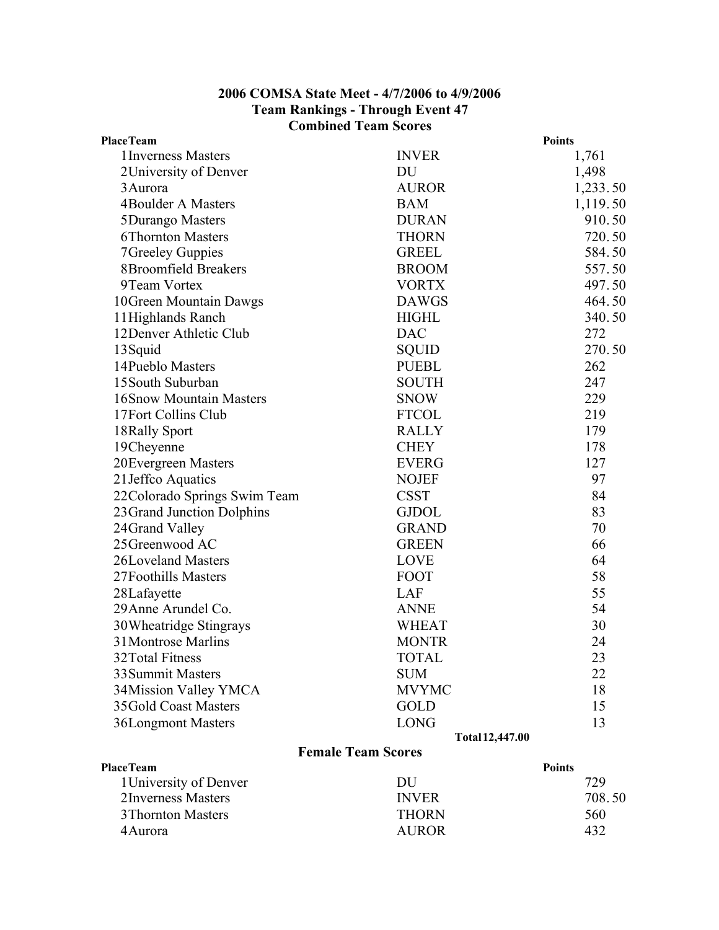## **2006 COMSA State Meet - 4/7/2006 to 4/9/2006 Team Rankings - Through Event 47 Combined Team Scores**

| <b>PlaceTeam</b>             |                           | <b>Points</b> |
|------------------------------|---------------------------|---------------|
| 1 Inverness Masters          | <b>INVER</b>              | 1,761         |
| 2 University of Denver       | DU                        | 1,498         |
| 3 Aurora                     | <b>AUROR</b>              | 1,233.50      |
| <b>4Boulder A Masters</b>    | <b>BAM</b>                | 1,119.50      |
| 5 Durango Masters            | <b>DURAN</b>              | 910.50        |
| <b>6Thornton Masters</b>     | <b>THORN</b>              | 720.50        |
| 7Greeley Guppies             | <b>GREEL</b>              | 584.50        |
| 8Broomfield Breakers         | <b>BROOM</b>              | 557.50        |
| 9Team Vortex                 | <b>VORTX</b>              | 497.50        |
| 10Green Mountain Dawgs       | <b>DAWGS</b>              | 464.50        |
| 11 Highlands Ranch           | <b>HIGHL</b>              | 340.50        |
| 12 Denver Athletic Club      | <b>DAC</b>                | 272           |
| 13 Squid                     | SQUID                     | 270.50        |
| 14Pueblo Masters             | <b>PUEBL</b>              | 262           |
| 15 South Suburban            | <b>SOUTH</b>              | 247           |
| 16Snow Mountain Masters      | <b>SNOW</b>               | 229           |
| 17Fort Collins Club          | <b>FTCOL</b>              | 219           |
| 18Rally Sport                | <b>RALLY</b>              | 179           |
| 19Cheyenne                   | <b>CHEY</b>               | 178           |
| 20 Evergreen Masters         | <b>EVERG</b>              | 127           |
| 21 Jeffco Aquatics           | <b>NOJEF</b>              | 97            |
| 22Colorado Springs Swim Team | <b>CSST</b>               | 84            |
| 23 Grand Junction Dolphins   | <b>GJDOL</b>              | 83            |
| 24 Grand Valley              | <b>GRAND</b>              | 70            |
| 25 Greenwood AC              | <b>GREEN</b>              | 66            |
| 26Loveland Masters           | LOVE                      | 64            |
| 27Foothills Masters          | <b>FOOT</b>               | 58            |
| 28Lafayette                  | LAF                       | 55            |
| 29 Anne Arundel Co.          | <b>ANNE</b>               | 54            |
| 30 Wheatridge Stingrays      | <b>WHEAT</b>              | 30            |
| 31 Montrose Marlins          | <b>MONTR</b>              | 24            |
| 32 Total Fitness             | <b>TOTAL</b>              | 23            |
| 33 Summit Masters            | <b>SUM</b>                | 22            |
| 34Mission Valley YMCA        | <b>MVYMC</b>              | 18            |
| <b>35Gold Coast Masters</b>  | <b>GOLD</b>               | 15            |
| 36Longmont Masters           | <b>LONG</b>               | 13            |
|                              | Total 12,447.00           |               |
|                              | <b>Female Team Scores</b> |               |
| <b>PlaceTeam</b>             |                           | <b>Points</b> |
| 1 University of Denver       | DU                        | 729           |
| 2Inverness Masters           | <b>INVER</b>              | 708.50        |
| 3 Thornton Masters           | <b>THORN</b>              | 560           |
| 4 Aurora                     | <b>AUROR</b>              | 432           |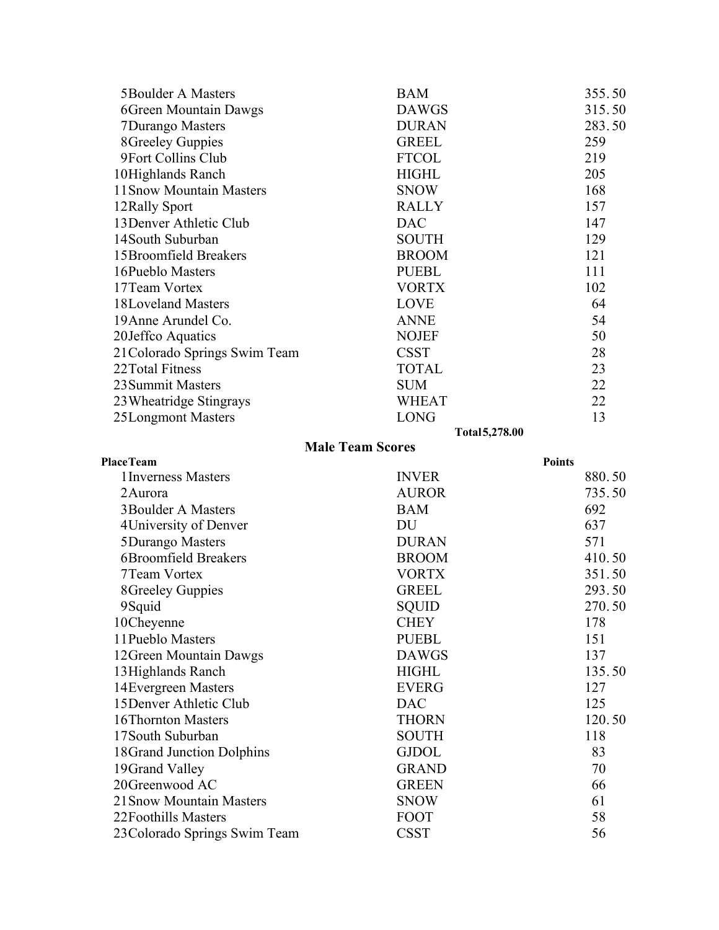| 5Boulder A Masters                                   | <b>BAM</b>                 | 355.50        |
|------------------------------------------------------|----------------------------|---------------|
| 6Green Mountain Dawgs                                | <b>DAWGS</b>               | 315.50        |
| 7Durango Masters                                     | <b>DURAN</b>               | 283.50        |
| 8Greeley Guppies                                     | <b>GREEL</b>               | 259           |
| 9Fort Collins Club                                   | <b>FTCOL</b>               | 219           |
| 10Highlands Ranch                                    | <b>HIGHL</b>               | 205           |
| 11 Snow Mountain Masters                             | <b>SNOW</b>                | 168           |
| 12Rally Sport                                        | <b>RALLY</b>               | 157           |
| 13 Denver Athletic Club                              | <b>DAC</b>                 | 147           |
| 14 South Suburban                                    | <b>SOUTH</b>               | 129           |
| 15 Broomfield Breakers                               | <b>BROOM</b>               | 121           |
| 16Pueblo Masters                                     | <b>PUEBL</b>               | 111           |
| 17Team Vortex                                        | <b>VORTX</b>               | 102           |
| 18Loveland Masters                                   | LOVE                       | 64            |
| 19 Anne Arundel Co.                                  | <b>ANNE</b>                | 54            |
| 20 Jeffco Aquatics                                   | <b>NOJEF</b>               | 50            |
| 21 Colorado Springs Swim Team                        | <b>CSST</b>                | 28            |
| 22Total Fitness                                      | <b>TOTAL</b>               | 23            |
| 23 Summit Masters                                    | <b>SUM</b>                 | 22            |
| 23 Wheatridge Stingrays                              | <b>WHEAT</b>               | 22            |
| 25 Longmont Masters                                  | <b>LONG</b>                | 13            |
|                                                      | Total 5,278.00             |               |
|                                                      | <b>Male Team Scores</b>    |               |
| <b>PlaceTeam</b>                                     |                            | <b>Points</b> |
| 1 Inverness Masters                                  | <b>INVER</b>               | 880.50        |
| 2 Aurora                                             | <b>AUROR</b>               | 735.50        |
| 3 Boulder A Masters                                  | <b>BAM</b><br><b>DU</b>    | 692<br>637    |
| 4 University of Denver                               | <b>DURAN</b>               | 571           |
| 5Durango Masters<br>6Broomfield Breakers             | <b>BROOM</b>               | 410.50        |
| 7Team Vortex                                         | <b>VORTX</b>               | 351.50        |
| 8 Greeley Guppies                                    | <b>GREEL</b>               | 293.50        |
| 9Squid                                               | SQUID                      | 270.50        |
| 10Cheyenne                                           | <b>CHEY</b>                | 178           |
| 11 Pueblo Masters                                    | <b>PUEBL</b>               | 151           |
| 12 Green Mountain Dawgs                              | <b>DAWGS</b>               | 137           |
| 13 Highlands Ranch                                   | <b>HIGHL</b>               | 135.50        |
| 14 Evergreen Masters                                 | <b>EVERG</b>               | 127           |
| 15 Denver Athletic Club                              | <b>DAC</b>                 | 125           |
| 16Thornton Masters                                   | <b>THORN</b>               | 120.50        |
|                                                      |                            |               |
|                                                      |                            |               |
| 17 South Suburban                                    | SOUTH                      | 118           |
| 18Grand Junction Dolphins                            | <b>GJDOL</b>               | 83            |
| 19Grand Valley                                       | <b>GRAND</b>               | 70            |
| 20Greenwood AC                                       | <b>GREEN</b>               | 66            |
| 21 Snow Mountain Masters                             | <b>SNOW</b>                | 61            |
| 22Foothills Masters<br>23 Colorado Springs Swim Team | <b>FOOT</b><br><b>CSST</b> | 58<br>56      |